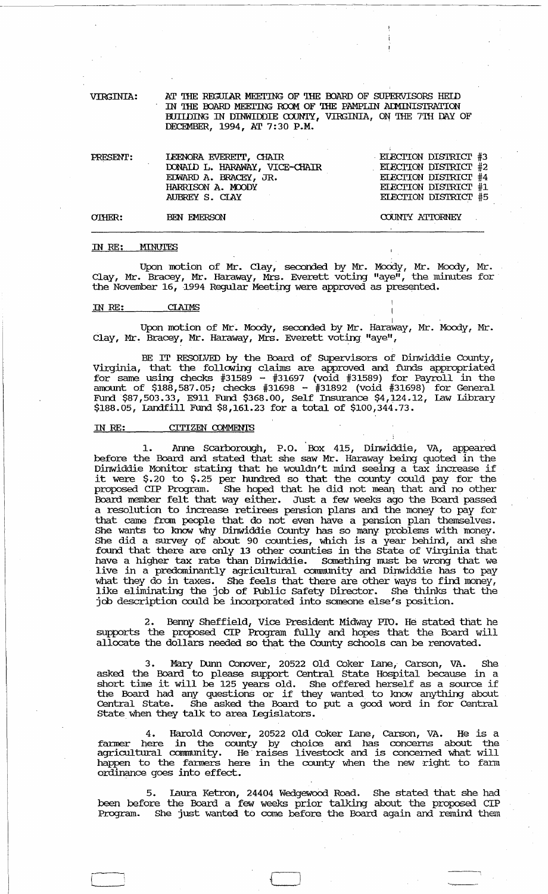VIRGJNIA: AT THE REGULAR MEETING OF THE BOARD OF SUPERVISORS HEID IN THE BOARD MEETING ROOM OF THE PAMPLIN ADMINISTRATION BUIIDING IN DINWIDDIE COUNTY, VIRGINIA, ON THE 7TH DAY OF DECEMBER, 1994, Nr 7:30 P.M.

| PRESENT: | LEENORA EVERETT, CHAIR        | <b>ELECTION DISTRICT #3</b> |
|----------|-------------------------------|-----------------------------|
|          | DONAID L. HARAWAY, VICE-CHAIR | ELECTION DISTRICT #2        |
|          | EDWARD A. BRACEY, JR.         | ELECTION DISTRICT #4        |
|          | HARRISON A. MOODY             | ELECTION DISTRICT #1        |
|          | AUBREY S. CLAY                | ELECTION DISTRICT #5        |
|          |                               |                             |
| OTHER:   | <b>BEN EMERSON</b>            | COUNTY ATTORNEY             |

### IN RE: MINUl'ES

Upon motion of Mr. Clay, seconded by Mr. MoOdy, Mr. Moody, Mr. Clay, Mr. Bracey, Mr. Haraway, Mrs. Everett voting "aye", the minutes for the November 16, 1994 Regular Meeting were approved as presented.

#### **CLAIMS** IN RE:

I Upon motion of Mr. Moody, seconded by Mr. Haraway, Mr. Moody, Mr. Clay, Mr. Bracey, Mr. Haraway, Mrs. Everett voting "aye",

BE IT RESOLVED by the Board of SUpervisors of Dinwiddie County, Virginia, that the following claims are approved and funds appropriated for same using checks #31589 - #31697 (void #31589) for Payroll in the amount of \$188,587.05; checks #31698 - #31892 (void #31698) for General Fund \$87,503.33, E911 Fund \$368.00, Self Insurance \$4,124.12, Law Library \$188.05, Landfill Fund \$8,161.23 for a total of \$100,344.73.

### IN RE: CITIZEN COMMENTS

I . CJ '---------'

1. Arme Sccrrborough, P.O. Box 415, Dinwiddie, VA, appeared before the Board and stated that she saw Mr. Haraway being quoted in the Dinwiddie Monitor stating that he wouldn't mind seeing a tax increase if Diminute Follich stating that he wouldn't limit seemly a tax increase if<br>it were \$.20 to \$.25 per hundred so that the county could pay for the proposed CIP Program. She hoped that he did not mean that and no other Board member felt that way either. Just a few weeks ago the Board passed a resolution to increase retirees pension plans and the money to pay for that came from people that do not even have a pension plan themselves. She wants to lmow why Dinwiddie County has so many problems with money. She did a survey of about 90 counties, which is a year behind, and she found that there are only 13 other counties in the state of Virginia that have a higher tax rate than Dinwiddie. something must be wrong that we live in a predominantly agricultural community and Dinwiddie has to pay what they do in taxes. She feels that there are other ways to find money, like eliminating the job of Public Safety Director. She thinks that the job description could be incorporated into someone else's position.

2. Benny Sheffield, Vice President Midway PTO. He stated that he supports the proposed CIP Program fully and hopes that the Board will allocate the dollars needed so that the County schools can be renovated.

Mary Dunn Conover, 20522 Old Coker Lane, Carson, VA. She asked the Board to please support Central state Hospital because in a short time it will be 125 years old. She offered herself as a source if the Board had any questions or if they wanted to know anything about Central state. She asked the Board to put a good word in for Central State when they talk to area legislators.

4. Harold Conover, 20522 Old Coker lane, Carson, VA. He is a fanner here in the county by choice and has concerns about the agricultural community. He· raises livestock and is concerned what will happen to the farmers here in the county when the new right to fann ordinance goes into effect.

5. Laura Ketron, 24404 Wedgewood Road. She stated that she had been before the Board a few weeks prior talking about the proposed CIP Program. She just wanted to come before the Board again and remind. them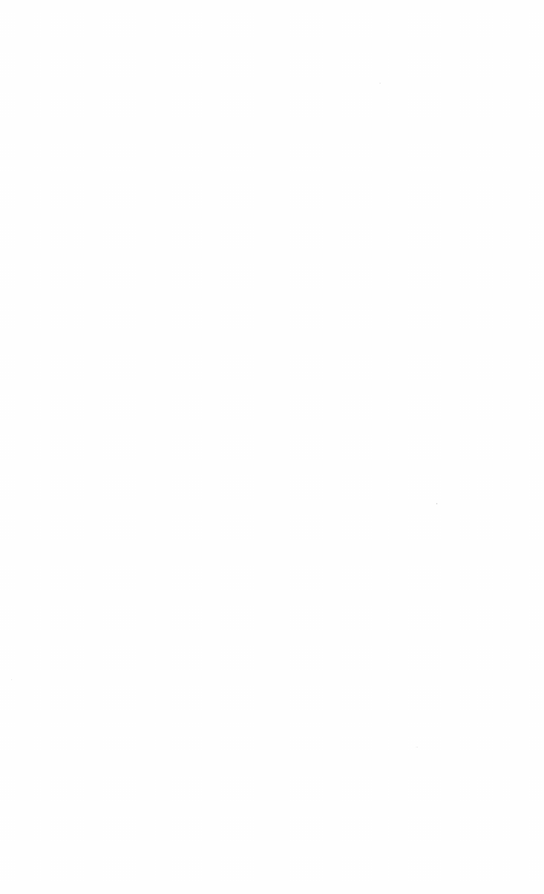$\label{eq:2.1} \frac{1}{\sqrt{2}}\left(\frac{1}{\sqrt{2}}\right)^{2} \left(\frac{1}{\sqrt{2}}\right)^{2} \left(\frac{1}{\sqrt{2}}\right)^{2} \left(\frac{1}{\sqrt{2}}\right)^{2} \left(\frac{1}{\sqrt{2}}\right)^{2} \left(\frac{1}{\sqrt{2}}\right)^{2} \left(\frac{1}{\sqrt{2}}\right)^{2} \left(\frac{1}{\sqrt{2}}\right)^{2} \left(\frac{1}{\sqrt{2}}\right)^{2} \left(\frac{1}{\sqrt{2}}\right)^{2} \left(\frac{1}{\sqrt{2}}\right)^{2} \left(\$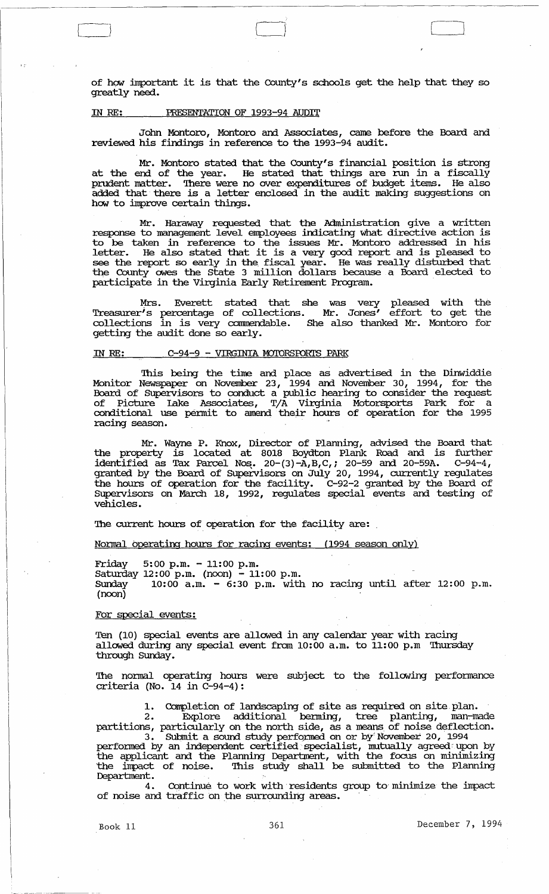of how important it is that the County's schools get the help that they so greatly need.

### IN *RE:* PRESENTATION OF 1993-94 AUDIT

':

John Montoro, Montoro and Associates, came before the Board and reviewed his findings in reference to the 1993-94 audit.

Mr. Montoro stated that the County's financial position is strong at the end of the year. He stated that things are run in a fiscally prudent matter. There were no over expenditures of budget items. He also added that there is a letter enclosed in the audit making suggestions on how to improve certain things.

Mr. Haraway requested that the Administration give a written response to management level employees indicating what directive action is to be taken in reference to the issues Mr. Montoro addressed in his Letter. He also stated that it is a very good report and is pleased to see the report so early in the fiscal year. He was really disturbed that the County owes the state 3 million dollars because a Board elected to participate in the Virginia Early Retirement Program.

Mrs. Everett stated that she was very pleased with the Treasurer's percentage of collections. Mr. Jones' effort to get the collections in is very cammendable. She also thanked Mr. Montoro for getting the audit done so early.

# IN RE: C-94-9 - VIRGINIA MOTORSPORTS PARK

This being the time and place as advertised in the Dinwiddie Monitor Newspaper on November 23, 1994 and November 30, 1994, for the Board of SUpervisors to conduct a public hearing to consider the request of Picture Lake Associates, T/A Virginia Motorsports Park for a conditional use pennit to amend their hours of operation for the 1995 racing season.

Mr. Wayne P. Knox, Director of Planning, advised the Board that the property is located at 8018 Boydton Plank Road and is further identified as Tax Parcel Nos.  $20-(3)-A$ , B, C,; 20-59 and 20-59A. C-94-4, granted by the Board of Supervisors on July 20, 1994, currently regulates the hours of operation for the facility. C-92-2 granted by the Board of Supervisors on March 18, 1992, regulates special events and testing of vehicles.

The current hours of operation for the facility are:

Normal operating hours for racing events: (1994 season only)

Friday 5:00 p.m. - 11:00 p.m. Saturday  $12:00$  p.m. (noon) -  $11:00$  p.m. SUnday 10:00 a.m. - 6:30 p.m. with no racing until after 12:00 p.m. (noon)

### For special events:

Ten (10) special events are allowed in any calendar year with racing allowed during any special event from 10:00 a.m. to 11:00 p.m 'Ibursday through SUnday.

The normal operating hours were subject to the following performance criteria (No. 14 in C-94-4) :

1. Completion of landscaping of site as required on site plan.

2. Explore additional berming, tree planting, man-made partitions, particularly on the north side, as a means of noise deflection. 3. SUbmit a sound study perfo;rmed on or by' November 20, 1994

performed by an independent certified. specialist, mutually agreed: upon by the applicant and the Planning Department, with the focus on minimizing the impact of noise. 'Ibis study shall be submitted to the Planning Department.

4. Continue to work with· residents group to minimize the impact of noise and traffic on the surrounding areas.

Book 11 361 December 7, 1994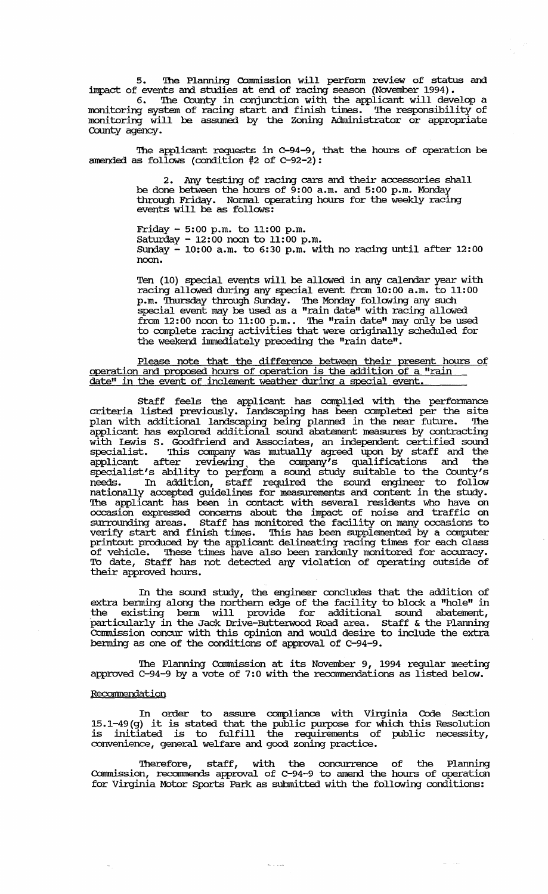5. The Planning Commission will perform review of status and impact of events and studies at end of racing season (November 1994). 6. The County in conjunction with the applicant will develop a monitoring system of racing start and finish times. The responsibility of monitoring will be assumed by the Zoning Administrator or appropriate County agency.

The applicant requests in C-94-9, that the hours of operation be amended as follows (condition  $#2$  of C-92-2):

> 2. Any testing of racing cars and their accessories shall be done between the hours of 9:00 a.m. and 5:00 p.m. Monday through Friday. Normal operating hours for the weekly racing events will be as follows:

Friday - 5:00 p.m. to 11:00 p.m. Saturday - 12:00 noon to 11:00 p.m. Sunday  $-$  10:00 a.m. to 6:30 p.m. with no racing until after 12:00 noon.

Ten (10) special events will be allowed in any calendar year with racing allowed during any special event from  $10:00$  a.m. to  $11:00$ p.m. Thursday through Sunday. The Monday following any such special event may be used as a "rain date" with racing allowed from 12:00 noon to 11:00 p.m.. The "rain date" may only be used to complete racing activities that were originally scheduled for the weekend immediately preceding the "rain date".

Please note that the difference between their present hours of operation and proposed hours of operation is the addition of a "rain date" in the event of inclement weather during a special event.

Staff feels the applicant has complied with the performance criteria listed previously. landscaping has been completed per the site plan with additional landscaping being planned in the near future. The applicant has explored additional sound abatement measures by contracting with Lewis S. Goodfriend and Associates, an independent certified sound specialist. This company was mutually agreed upon by staff and the applicant after reviewing the company's qualifications and the specialist's ability to perfonn a sound study suitable to the County's needs. In addition, staff required the sound engineer to follow nationally accepted guidelines for measurements and content in the study. The applicant has been in contact with several residents who have on cx:: "The expressed concerns about the impact of noise and traffic on surrounding areas. Staff has monitored the facility on many occasions to verify start and finish times. This has been supplemented by a computer printout produced by the applicant delineating racing times for each class of vehicle. These times have also been randomly monitored for accuracy. 'lb date, Staff has not detected any violation of operating outside of their approved hours.

In the sound study, the engineer concludes that the addition of extra berming along the northern edge of the facility to block a "hole" in the existing berm will provide for additional sound abatement, 'particularly in the Jack Drive-Butte:rwood Road area. Staff & the Planning Cormnission concur with this opinion and would desire to include the extra benning as one of the conditions of approval of C-94-9.

The Planning Commission at its November 9, 1994 regular meeting approved C-94-9 by a vote of 7:0 with the reconunendations as listed below.

## Recommendation

In order to assure compliance with Virginia Code section 15.1-49 (g) it is stated that the public purpose for which this Resolution is initiated is to fulfill the requirements of public necessity, convenience, general welfare and good zoning practice.

Therefore, staff, with the concurrence of the Planning Commission, recammends approval of C-94-9 to amend the hours of operation for Virginia Motor Sports Park as submitted with the following conditions:

 $\sim$   $\sim$   $\sim$   $\sim$ 

 $\frac{1}{2}$  and  $\frac{1}{2}$  .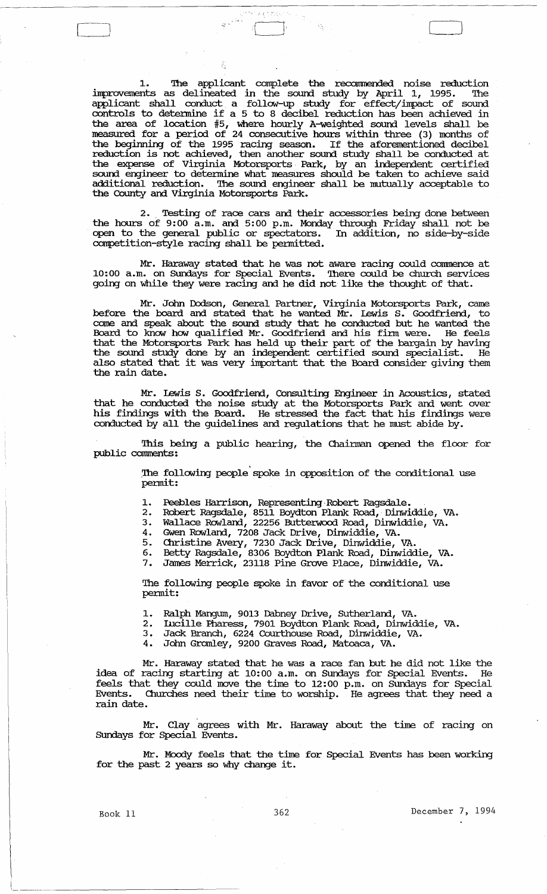1. The applicant complete the recommended noise reduction improvements as delineated in the sound study by April 1, 1995. The applicant shall conduct a follow-up study for effect/impact of sound controls to detennine if a 5 to 8 decibel reduction has been achieved in the area of location #5, where hourly A-weighted sound levels shall be measured for a period of 24 consecutive hours within three (3) months of the beginning of the 1995 racing season. If the aforementioned decibel reduction is not achieved, then another sound study shall be conducted at the expense of Virginia Motorsports, Park, by an independent certified sound engineer to determine what measures should be taken to achieve said additional reduction. The sound engineer shall be mutually acceptable to the County and Virginia Motorsports Park.

ã

.... , J

Testing of race cars and their accessories being done between the hours of 9:00 a.m. and 5:00 p.m. Monday through Friday shall not be open to the general public or spectators. In addition, no side-by-side open to the general public or spectators.<br>competition-style racing shall be permitted.

Mr. Haraway stated that he was not aware racing could commence at 10:00 a.m. on Sundays for Special Events. '!here could be church services going on while they were racing and he did not like the thought of that.

Mr. John Dodson, General Partner, Virginia Motorsports Park, came before the board and stated that he wanted Mr. Lewis S. Goodfriend, to come and speak about the sound study that he conducted but he wanted the Board to know how qualified Mr. Goodfriend and his finn were. He feels that the Motorsports Park has held up their part of the bargain by having the sound study done by an independent certified sound specialist. He also stated that it was very important that the Board consider giving them the rain date.

Mr. lewis S. Goodfriend, Consulting Engineer in Acoustics, stated that he conducted the noise study at the Motorsports Park and went over his findings with the Board. He stressed the fact that his findings were conducted by all the guidelines and regulations that he must abide by.

This being a public hearing, the Chairman opened the floor for public comments:

> , The following people spoke in opposition of the conditional use pennit:

- 1. Peebles Harrison, Representing Robert Ragsdale.<br>2. Robert Ragsdale, 8511 Bovdton Plank Road, Dinwi
- 2. Robert Ragsdale, 8511 Boydton Plank Road, 'Dinwiddie, VA.
- 3. Wallace RcMland, 22256 Butte:rwood Road, Dinwiddie, VA.
- 
- 4. Gwen Rowland, 7208 Jack Drive, Dinwiddie, VA.<br>5. Christine Avery, 7230 Jack Drive, Dinwiddie, 5. Christine Avery, 7230 Jack Drive, Dinwiddie, VA.
- 6. Betty Ragsdale, 8306 Boydton Plank Road, Dinwiddie, VA.
- 7. James Merrick, 23118 Pine Grove Place, Dinwiddie, VA.

The following people spoke in favor of the conditional use pennit:

- 1. Ralph Mangum, 9013 Dabney Drive, Sutherland, VA.<br>2. Iucille Pharess. 7901 Bovdton Plank Road, Dinwid
- 2. lucille Fharess, 7901 Boydton Plank Road, Dinwiddie, VA.
- 3. Jack Branch, 6224 Courthouse Road, Dinwiddie, VA.
	- John Gromley, 9200 Graves Road, Matoaca, VA.

Mr. Haraway stated that he was a race fan but he did not like the racing starting at 10:00 a.m. on Sundays for Special Events. He idea of racing starting at 10:00 a.m. on Sundays for Special Events. feels that they could move the time to 12:00 p.m. on Sundays for Special Events. Churches need their time to worship. He agrees that they need a rain date.

Mr. Clay agrees with Mr. Haraway about the time of racing on SUndays for Special Events.

Mr. Moody feels that the time for Special Events has been working for the past 2 years so why change it.

Book 11 362 December 7, 1994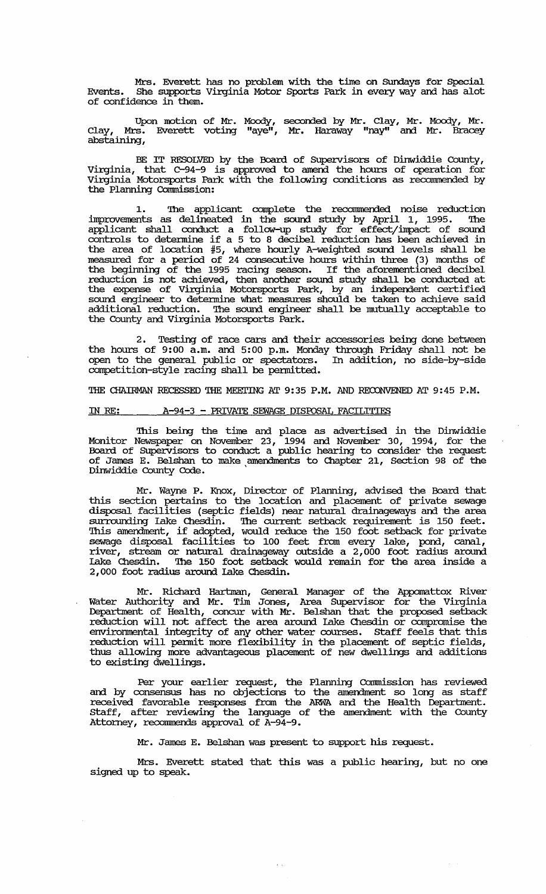Mrs. Everett has no problem with the time on Sundays for Special Events. She supports Virginia Motor Sports Park in every way and has alot of confidence in them.

Upon motion of Mr. Moody, seconded by Mr. Clay, Mr. Moody, Mr. Clay, Mrs. Everett voting "aye", Mr. Haraway "nay" and Mr. Bracey clay, Mrs.<br>abstaining,

BE IT RESOLVED by the Board of SUpervisors of Dinwiddie County, Virginia, that C-94-9 is approved to amend the hours of operation for Virginia Motorsports Park with the following conditions as recommended by the Planning Commission:

The applicant complete the recommended noise reduction improvements as delineated in the sound study by April 1, 1995. The applicant shall conduct a follow-up study for effect/impact of sound controls to determine if a 5 to 8 decibel reduction has been achieved in the area of location #5, where hourly A-weighted sound levels shall be measured for a period of 24 consecutive hours within three (3) months of the beginning of the 1995 racing season. If the aforementioned decibel reduction is not achieved, then another sound study shall be conducted at the expense of Virginia Motorsports Park, by an independent certified sound engineer to determine what measures should be taken to achieve said additional reduction. The sound engineer shall be mutually acceptable to the County and Virginia Motorsports Park.

2. Testing of race cars and their accessories being done between the hours of 9:00 a.m. and 5:00 p.m. Monday through Friday shall not be open to the general public or spectators. In addition, no side-by-side open to the general public or spectators. competition-style racing shall be pennitted.

THE CHAIRMAN RECESSED THE MEETING AT 9:35 P.M. AND RECONVENED AT 9:45 P.M.

### IN *RE:* A-94-3 - PRIVATE SEWAGE DISr08AL FACILITIES

This being the time and place as advertised in the Dinwiddie Monitor Newspaper on November 23, 1994 and November 30, 1994, for the Board of SUpervisors to conduct a public hearing to consider the request of James E. Belshan to make amendments to Chapter 21, Section 98 of the Dinwiddie County Code.

Mr. Wayne P. Knox, Director of Planning, advised the Board that this section pertains to the location and placement of private sewage disposal facilities (septic fields) near natural drainageways and the area surrounding lake Chesdin. '!he current setback requirement is 150 feet. Surfounding the Gressin. The current setback requirement is 150 reet.<br>This amendment, if adopted, would reduce the 150 foot setback for private sewage disposal facilities to 100 feet from every lake, pond, canal, river, stream or natural drainageway outside a 2,000 foot radius around Lake Chesdin. The 150 foot setback would remain for the area inside a 2,000 foot radius around lake Chesdin.

Mr. Richard Hartman, General Manager of the Appomattox River Water Authority and Mr. Tim Jones, Area SUpervisor for the Virginia Department of Health, concur with Mr. Belshan that the proposed setback reduction will not affect the area around lake Chesdin or compromise the envirornnental integrity of any other water courses. Staff feels that this reduction will permit more flexibility in the placement of septic fields, thus allowing more advantageous placement of new dwellings and additions to existing dwellings.

Per your earlier request, the Planning Commission has reviewed and by consensus has no objections to the amendment so long as staff and by consensus has no objections to the amendment so long as staff received favorable responses from the ARWA and the Health Department. Staff, after reviewing the language of the amendment with the County Attorney, recommends approval of A-94-9.

Mr. James E. Belshan was present to support his request.

Mrs. Everett stated that this was a public hearing, but no one signed up to speak.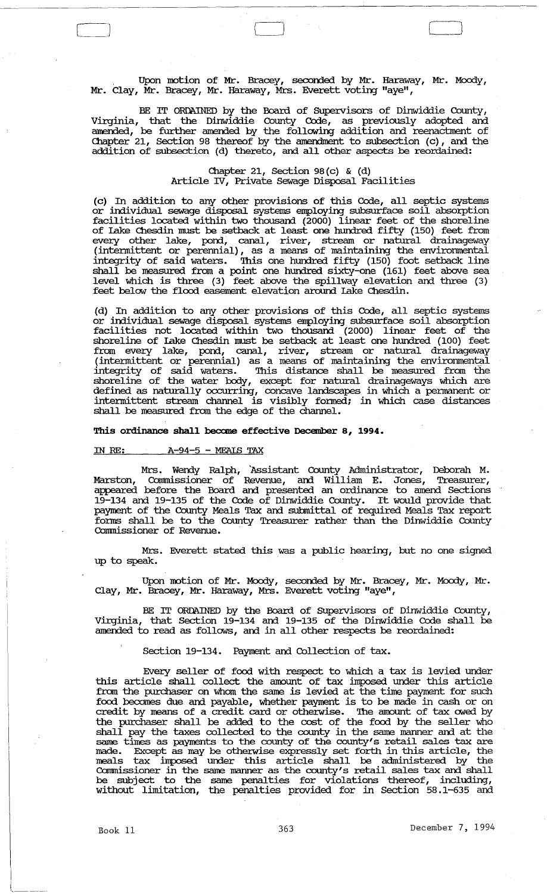Upon motion of Mr. Bracey, seconded by Mr. Haraway, Mr. Moody, Mr. Clay, Mr. Bracey, Mr. Haraway, Mrs. Everett voting "aye",

[ ]

BE IT ORDAJNED by the Board of SUpervisors of Dinwiddie County, Virginia, that the Dinwiddie County Code, as previously adopted and amended, be further amended by the following addition and reenactment of Chapter 21, Section 98 thereof by the amendment to subsection (c), and the addition of subsection (d) thereto, and all other aspects be reordained:

### Chapter 21, Section 98(c) & (d) Article IV, Private Sewage Disposal Facilities

(c) In addition to any other provisions of this Code, all septic systems or individual sewage disposal systems employing subsurface soil absorption facilities located within two thousand (2000) linear feet of the shoreline of lake Chesdin must be setback at least one hundred fifty (150) feet from every other lake, pond, canal, river, stream or natural drainageway (intermittent or perennial), as a means of maintaining the environmental integrity of said waters. 'Ibis one hundred fifty (150) foot setback line shall be measured from a point one hundred sixty-one (161) feet above sea level which is three (3) feet above the spillway elevation and three (3) feet below the flood easement elevation around lake Chesdin.

(d) In addition to any other provisions of this Code, all septic systems or individual sewage disposal systems employing subsurface soil absorption facilities not located within two thousand (2000) linear feet of the shoreline of lake Chesdin must be setback at least one hundred (100) feet from every lake, pond, canal, river, stream or natural drainageway (intermittent or perennial) as a means of maintaining the environmental integrity of said waters. 'Ibis distance shall be measured from the shoreline of the water body, except for natural drainageways which are defined as naturally occurring, concave landscapes in which a pennanent or intennittent stream channel is visibly fonned; in which case distances shall be measured from the edge of the channel.

### This ordinance shall becane effective December 8, 1994.

### IN RE:  $A-94-5$  - MEALS TAX

Mrs. Wendy Ralph, 'Assistant County Administrator, Deborah M. Marston, Connnissioner of Revenue, and William E. Jones, Treasurer, appeared before the Board and presented an ordinance to amend sections 19-134 and 19-135 of the Code of Dinwiddie County. It would provide that payment of the County Meals Tax and submittal of required Meals Tax report fonns shall be to the County Treasurer rather than the Dinwiddie County Connnissioner of Revenue.

Mrs. Everett stated this was a public hearing, but no one signed up to speak. .

Upon motion of Mr. Moody, seconded by Mr. Bracey, Mr. Moody, Mr. Clay, Mr. Bracey, Mr. Haraway, Mrs. Everett voting "aye",

BE IT ORDAJNED by the Board of Supervisors of Dinwiddie County, Virginia, that Section 19-134 and 19-135 of the Dinwiddie Code shall be amended to read as follows, and in all other respects be reordained:

Section 19-134. Payment and Collection of tax.

Every seller of food with respect to which a tax is levied under this article shall collect the amount of tax imposed under this article from the purchaser on whom the same is levied at the time payment for such food becomes due and payable, whether payment is to be made in cash or on· credit by means of a credit card or otherwise. '!he amount of tax owed by the purchaser shall be added to the cost of the food by the seller who shall pay the taxes collected to the county in the same manner and at the same times as payments to the county of the county's retail sales tax are made. Except as may be otherwise expressly set forth in this article, the meals tax imposed under this article shall be administered by the Commissioner in the same manner as the county's retail sales tax and shall be subject to the same penalties for violations thereof, including, without limitation, the penalties provided for in Section 58.1-635 and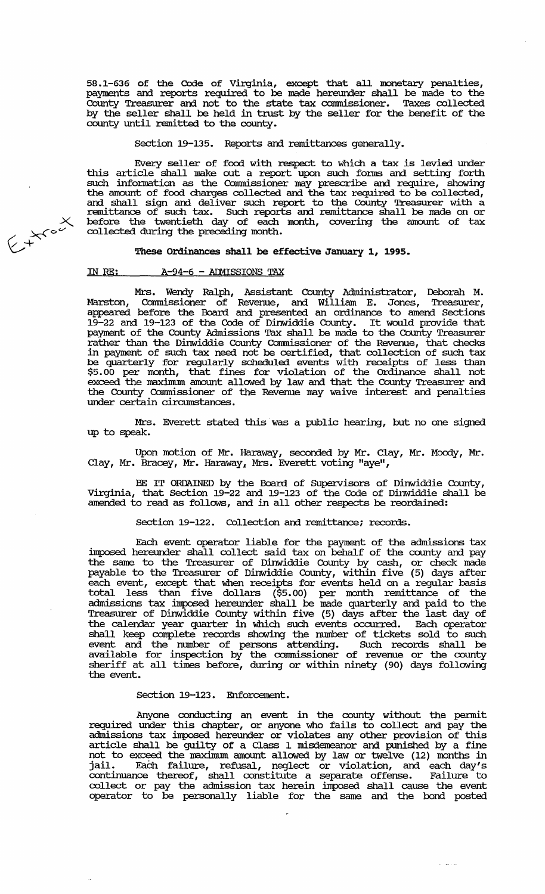58.1-636 of the Code of Virginia, except that all monetary penalties, payments and. reports required to be made hereunder shall be made to the County Treasurer and. not to the state tax conunissioner. Taxes collected by the seller shall be held in trust by the seller for the benefit of the county until remitted to the county.

section 19-135. Reports and. remittances generally.

Every seller of food with respect to which a tax is levied under this article shall make out a report upon such fonns and. setting forth such information as the Commissioner may prescribe and require, showing the amount of food charges collected and. the tax required to be collected, and. shall sign and. deliver such report to the County Treasurer with a remittance of such tax. Such reports and. remittance shall be made on or before the twentieth day of each month, covering the amount of tax collected during the preceding month.

### These ordinances shall be effective January 1, 1995.

# IN RE: A-94-6 - ADMISSIONS TAX

 $\overline{\times}$ 

 $K+K$ 

Mrs. Wendy Ralph, Assistant County Administrator, Deborah M. Marston, Connnissioner of Revenue, and. William E. Jones, Treasurer, appeared before the Board and presented an ordinance to amend sections 19-22 and 19-123 of the Code of Dinwiddie County. It would provide that payment of the County Admissions Tax shall be made to the County Treasurer rather than the Dinwiddie County Connnissioner of the Revenue, that checks in payment of such tax need not be certified, that collection of such tax be quarterly for regularly scheduled events with receipts of less than \$5.00 per month, that fines for violation of the Ordinance shall not exceed the maximum amount allowed by law and that the County Treasurer and the County Connnissioner of the Revenue may waive interest and penalties under certain circumstances.

Mrs. Everett stated this was a public hearing, but no one signed up to speak.

Upon motion of Mr. Haraway, seconded by Mr. Clay, Mr. Moody, Mr. Clay, Mr. Bracey, Mr. Haraway. Mrs. Everett voting "aye",

BE IT ORDAINED by the Board of Supervisors of Dinwiddie County, Virginia, that Section 19-22 and 19-123 of the Code of Dinwiddie shall be amended to read as follows, and in all other respects be reordained:

### Section 19-122. Collection and remittance; records.

Each event operator liable for the payment of the admissions tax imposed hereunder shall collect said tax on behalf of the county and. pay the same to the Treasurer of Dinwiddie County by cash, or check made payable to the Treasurer of Dinwiddie County, within five (5) days after each event, except that when receipts for events held on a regular basis total less than five dollars (\$5.00) per month remittance of the admissions tax imposed hereunder shall be made quarterly and paid to the Treasurer of Dinwiddie County within five (5) days after the last day of the calendar year quarter in which such events occurred. Each operator shall keep complete records showing the number of tickets sold to such event and the number of persons attending. Such records shall be available for inspection by the conunissioner of revenue or the county sheriff at all times before, during or within ninety (90) days following the event.

# Section 19-123. Enforcement.

Anyone conducting an event in the county without the pennit required under this chapter, or anyone who fails to collect and pay the admissions tax imposed hereunder or violates any other provision of this article shall be guilty of a Class 1 misdemeanor and punished by a fine not to exceed the maximum amount allowed by law or twelve (12) months in jail. EaCh failure, refusal, neglect or violation, and. each day's continuance thereof, shall constitute a separate offense. Failure to collect or pay the admission tax herein imposed shall cause the event operator to be personally liable for the same and the bond posted

 $\tau_{\rm c}$  , and  $\tau_{\rm c}$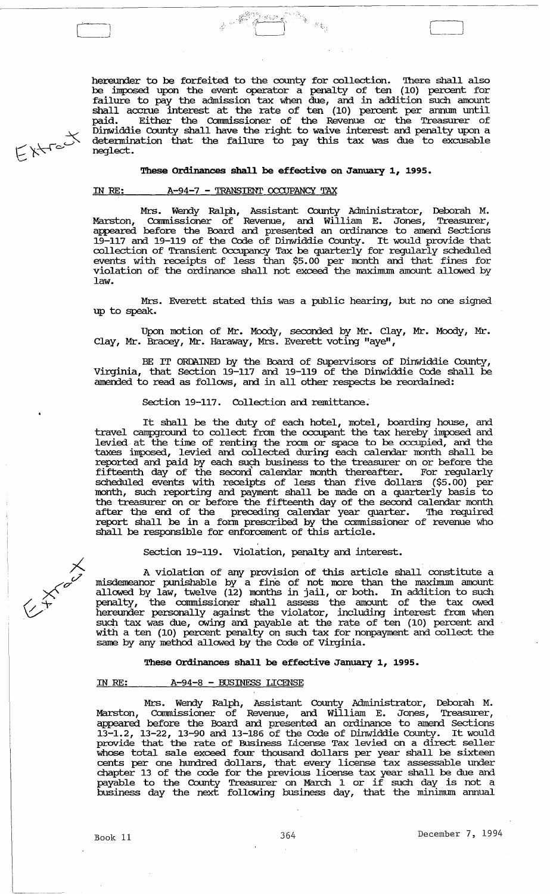hereunder to be forfeited to the county for collection. There shall also hereunder to be forfeited to the county for collection. There shall also<br>be imposed upon the event operator a penalty of ten (10) percent for<br>failure to pay the admission tax when due, and in addition such amount shall accrue interest at the rate of ten (10) percent per annum until paid. Either the Commissioner of the Revenue or the Treasurer of Dinwiddie County shall have the right to waive interest am penalty upon a determination that the failure to pay this tax was due to excusable neglect.

 $\begin{array}{ccc} \hline \begin{array}{ccc} \hline \hline \hline \end{array} & \hline \end{array}$ 

## These ordinances **shall be effective on January 1, 1995.**

### IN RE: A-94-7 - TRANSIENT OCOJPANCY TAX

EXTENT

**XXCOVERED** 

Mrs. Wendy Ralph, Assistant County Administrator, Deborah M. Marston, Commissioner of Revenue, am William E. Jones, Treasurer, appeared before the Board and presented an ordinance to amend Sections 19-117 am 19-119 of the Code of Dinwiddie County. It would provide that collection of Transient Occupancy Tax be quarterly for regularly scheduled events with receipts of less than \$5.00 per month and that fines for violation of the ordinance shall not exceed the maximum amount allowed by law.

Mrs. Everett stated this was a public hearing, but no one signed up to speak.

Upon motion of Mr. Moody, seconded by Mr. Clay, Mr. Moody, Mr. Clay, Mr. Bracey, Mr. Haraway, Mrs. Everett voting "aye",

BE IT ORDAINED by the Board of Supervisors of Dinwiddie County, Virginia, that Section 19-117 am 19-119 of the Dinwiddie Code shall be amended to read as follows, and in all other respects be reordained:

### Section 19-117. Collection and remittance.

It shall be the duty of each hotel, motel, boarding house, am travel campground to collect from the occupant the tax hereby imposed am levied at the time of renting the roam or space to be occupied, ani the taxes imposed, levied and collected during each calendar month shall be reported and paid by each such business to the treasurer on or before the fifteenth day of the second calendar month thereafter. For regularly scheduled events with receipts of less than five dollars  $($ \$5.00 $)$  per month, such reporting and payment shall be made on a quarterly basis to the treasurer on or before the fifteenth day of the second calendar month after the end of the preceding calendar year quarter. The required report shall be in a fonn prescribed by the conunissibner of revenue who shall be responsible for enforcement of this article.

Section 19-119. Violation, penalty and interest.

A violation of any provision of this article shall constitute a misdemeanor punishable by a fine of not more than the maximum amount allowed by law, twelve (12) months in jail, or both. In addition to such penalty, the conunissioner shall assess the amount of the tax owed hereunder personally against the violator, including interest from when such tax was due, owing and payable at the rate of ten (10) percent and with a ten (10) percent penalty on such tax for nonpayment and collect the same by any method allowed by the Code of Virginia.

### **These ordinances shall be effective January 1, 1995.**

### IN RE:  $A-94-8$  - BUSINESS LICENSE

Mrs. Wendy Ralph, Assistant County Administrator, Deborah M. Marston, commissioner of Revenue, and William E. Jones, Treasurer, appeared before the Board and presented an ordinance to amend sections 13-1.2, 13-22, 13-90 and 13-186 of the Code of Dinwiddie County. It would provide that the rate of Business License Tax levied on a direct seller whose total sale exceed four thousand dollars per year shall be sixteen cents per one hundred dollars, that every license tax assessable under chapter 13 of the code for the previous license tax year shall be due and payable to the County Treasurer on March 1 or if such day is not a business day the next following business day, that the minimum annual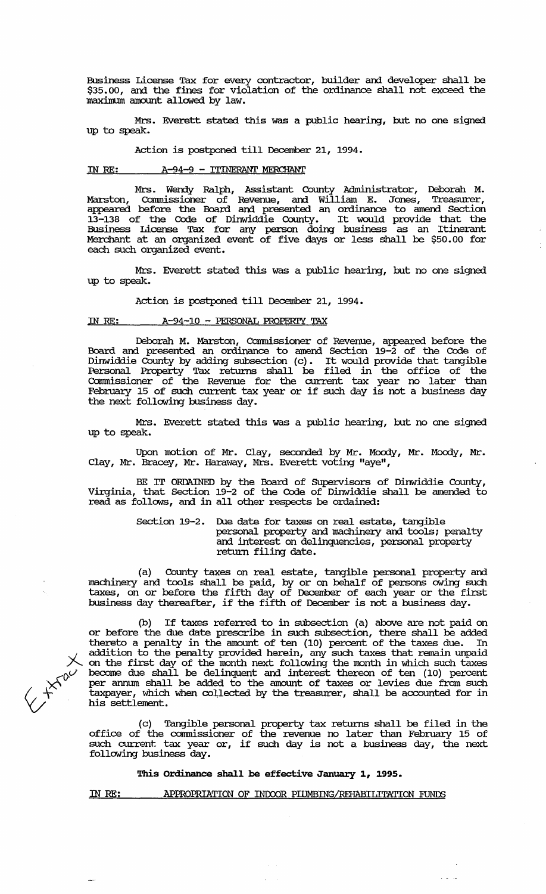Business License Tax for every contractor, builder and developer shall be \$35.00, and the fines for violation of the ordinance shall not exceed the maximum amount allowed by law.

Mrs. Everett stated this was a public hearing, but no one signed up to speak.

Action is postponed till December 21, 1994.

## IN RE: A-94-9 - ITINERANT MERCHANT

Mrs. Wendy Ralph, Assistant County Administrator, Deborah M. Marston, Commissioner of Revenue, and William E. Jones, Treasurer, appeared before the Board and presented an ordinance to amend Section 13-138 of the Code of Dinwiddie County. It would provide that the Business License Tax for any person doing business as an Itinerant Merchant at an organized event of five days or less shall be \$50.00 for each such organized event.

Mrs. Everett stated this was a public hearing, but no one signed up to speak.

Action is postponed till December 21, 1994.

### IN RE: A-94-10 - PERSONAL PROPERl'Y TAX

Deborah M. Marston, Commissioner of Revenue, appeared before the Board and presented an ordinance to amend Section 19-2 of the Code of Dinwiddie County by adding subsection (c). It would provide that tangible Personal Property Tax returns shall be filed in the office of the Commissioner of the Revenue for the current tax year no later than February 15 of such current tax year or if such day is not a business day the next following business day.

Mrs. Everett stated this was a public hearing, but no one signed up to speak.

Upon motion of Mr. Clay, seconded by Mr. Moody, Mr. Moody, Mr. Clay, Mr. Bracey, Mr. Haraway, Mrs. Everett voting "aye",

BE IT ORDAINED by the Board of Supervisors of Dinwiddie County, Virginia, that Section 19-2 of the Code of Dinwiddie shall be amended to read as follavs, and in all other respects be ordained:

> Section 19-2. Due date for taxes on real estate, tangible personal property and machinery and tools ; penalty and interest on delinquencies, personal property return filing date.

(a) County taxes on real estate, tangible personal property and machinery and tools shall be paid, by or on behalf of persons owing such taxes, on or before the fifth day of December of each year or the first business day thereafter, if the fifth of December is not a business day.

(b) If taxes referred to in subsection (a) above are not paid on or before the due date prescribe in such subsection, there shall be added thereto a penalty in the amount of ten (10) percent of the taxes due. In addition to the penalty provided herein, any such taxes that remain unpaid  $\chi$  on the first day of the month next following the month in which such taxes become due shall be delinquent and interest thereon of ten (10) percent<br>per annum shall be added to the amount of taxes or levies due from such<br>taxpayer, which when collected by the treasurer, shall be accounted for in<br>hi

> (c) Tangible personal property tax returns shall be filed in the office of the commissioner of the revenue no later than February 15 of SILICE OF THE COMMISSIONER OF THE FEVERITE NO FACER THAN TECHTUALY IS OF<br>such current tax year or, if such day is not a business day, the next following business day.

> > This ordinance shall be effective January **1,** 1995.

IN RE: APPROPRIATION OF INDOOR PIUMBING/REHABILITATION FUNDS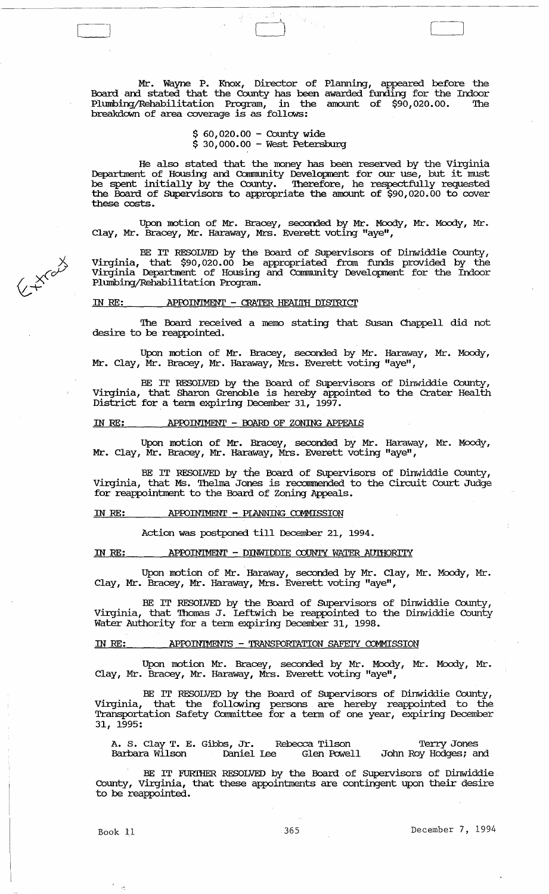Mr. Wayne P. Knox, Director of Plarming, appeared. before the Board and stated that the County has been awarded funding for the Indoor PlumbingjREhabilitation Program, in the amount of \$90,020.00. The breakdown of area coverage is as follows:

C-] [I

### \$ 60,020.00 - County wide \$ 30,000.00 - West Petersburg

He also stated that the money has been reserved by the Virginia<br>Department of Housing and Community Development for our use, but it must be spent initially by the County. 'Iherefore, he respectfully requested the Board of Supervisors to appropriate the amount of \$90,020.00 to cover these costs.

Upon motion of Mr. Bracey, seconded by Mr. Moody, Mr. Moody, Mr. Clay, Mr. Bracey, Mr. Haraway, Mrs. Everett voting "aye",

BE IT RESOLVED by the Board of SUpervisors of Dinwiddie County, Virginia, that \$90,020.00 be appropriated from funds provided by the Virginia Department of Housing and Community Development for the Indoor Plumbing/Rehabilitation Program.

## IN RE: APPOINTMENT - CRATER HEALTH DISTRICT

'Ihe Board received a memo stating that Susan Chappell did not desire to be reappointed.

Upon motion of Mr. Bracey, seconded by Mr. Haraway, Mr. Moody, Mr. Clay, Mr. Bracey, Mr. Haraway, Mrs. Everett voting "aye",

BE IT RESOLVED by the Board of SUpervisors of Dinwiddie County, Virginia, that Sharon Grenoble is hereby appointed to the Crater Health District for a tenn expiring December 31, 1997.

### IN RE: APPOINIMENT - BOARD OF ZONING APPEALS

Upon motion of Mr. Bracey, seconded by Mr. Haraway, Mr. Moody, Mr. Clay, Mr. Bracey, Mr. Haraway, Mrs. Everett voting "aye",

BE IT RESOLVED by the Board of SUpervisors of Dinwiddie County, Virginia, that Ms. Thelma Jones is reconnnended to the circuit Court Judge for reappointment to the Board of Zoning Appeals.

### IN RE: APPOINIMENT - PIANNING COMMISSION

Action was postponed till December 21, 1994.

### IN RE: APPOINTMENT - DINWIDDIE COUNTY WATER AUTHORITY

Upon motion of Mr. Haraway, seconded by Mr. Clay, Mr. Moody, Mr. Clay, Mr. Bracey, Mr. Haraway, Mrs. Everett voting "aye",

BE IT RESOLVED by the Board of SUpervisors of Dinwiddie County, Virginia, that Thomas J. Ieftwich be reappointed to the Dinwiddie County Water Authority for a term expiring December 31, 1998.

### IN RE: APPOINTMENTS - TRANSFORTATION SAFETY COMMISSION

Upon motion Mr. Bracey, seconded by Mr. Moody, Mr. Moody, Mr. Clay, Mr. Bracey, Mr. Haraway, Mrs. Everett voting "aye",

BE IT RESOLVED by the Board of SUpervisors of Dinwiddie County, Virginia, that the following persons are hereby reappointed to the Transportation Safety Connnittee for a tenn of one year, expiring December 31, 1995:

A. S. Clay T. E. Gibbs, Jr. Rebecca Tilson Barbara Wilson Daniel Lee Glen Powell Terry Jones John Roy Hodges; and

BE IT FURIHER RESOLVED by the Board of SUpervisors of Dinwiddie County, Virginia, that these appointments are contingent upon their desire to be reappointed.

Exposed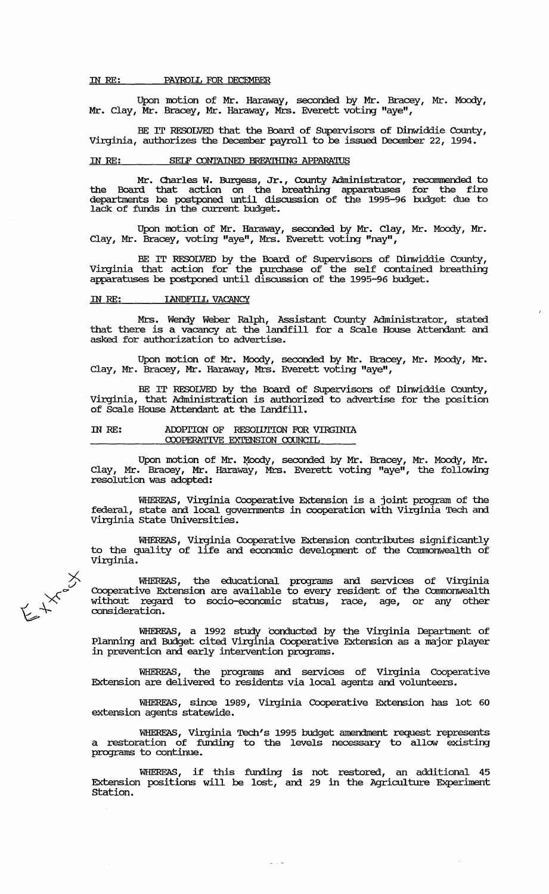Upon motion of Mr. Haraway, seconded by Mr. Bracey, Mr. Moody, Mr. Clay, Mr. Bracey, Mr. Haraway, Mrs. Everett voting "aye",

BE IT RESOLVED that the Board of Supervisors of Dinwiddie County, Virginia, authorizes the December payroll to be issued December 22, 1994.

### IN RE: SELF CONTAINED BREATHING APPARATUS

Mr. 0lar1es W. Burgess, Jr., County Administrator, the Board that action on the breathing apparatuses departments be postponed until discussion of the 1995-96 lack of funds in the current budget. recormnended to for the fire budget due to

Upon motion of Mr. Haraway, seconded by Mr. Clay, Mr. Moody, Mr. Clay, Mr. Bracey, voting "aye", Mrs. Everett voting "nay",

BE IT RESOLVED by the Board of Supervisors of Dinwiddie County, Virginia that action for the purchase of the self contained breathing apparatuses be postponed until discussion of the 1995-96 budget.

## IN RE: IANDFILL VACANCY

Mrs. Wendy Weber Ralph, Assistant County Administrator, stated that there is a vacancy at the landfill for a Scale House Attendant and asked for authorization to advertise.

Upon motion of Mr. Moody, seconded by Mr. Bracey, Mr. Moody, Mr. Clay, Mr. Bracey, Mr. Haraway, Mrs. Everett voting "aye",

BE IT RESOLVED by the Board of Supervisors of Dinwiddie County, Virginia, that Administration is authorized to advertise for the position of Scale House Attendant at the landfill.

### IN RE: ADOPTION OF RESOLUTION FOR VIRGINIA COOPERATIVE EXTENSION COUNCIL

Upon motion of Mr. Moody, seconded by Mr. Bracey, Mr. Moody, Mr. Clay, Mr. Bracey, Mr. Haraway, Mrs. Everett voting "aye", the following resolution was adopted:

WHEREAS, Virginia Cooperative Extension is a joint program of the federal, state and local goverrnnents in cooperation with Virginia Tech and Virginia state Universities.

WHEREAS, Virginia Cooperative Extension contributes significantly to the quality of life and economic development of the Connnonwealth of Virginia.

 $\lesssim$  $4x$ 

WHEREAS, the educational programs and services of Virginia Cooperative Extension are available to every resident of the Connnonwealth without regard to socio-economic status, race, age, or any other consideration.

WHEREAS, a 1992 study Conducted by the Virginia Department of Planning and Budget cited Virginia Cooperative Extension as a major player in prevention and early intervention programs.

WHEREAS, the programs and services of Virginia Cooperative Extension are delivered to residents via local agents and volunteers.

WHEREAS, since 1989, Virginia Cooperative Extension has lot 60 extension agents statewide.

WHEREAS, Virginia Tech's 1995 budget amendment request represents a restoration of funding to the levels necessary to allow existing programs to continue.

WHEREAS, if this funding is not restored, an additional 45 Extension positions will be lost, and 29 in the Agriculture Experiment station.

 $\omega_{\rm c}$  ,  $\omega_{\rm c}$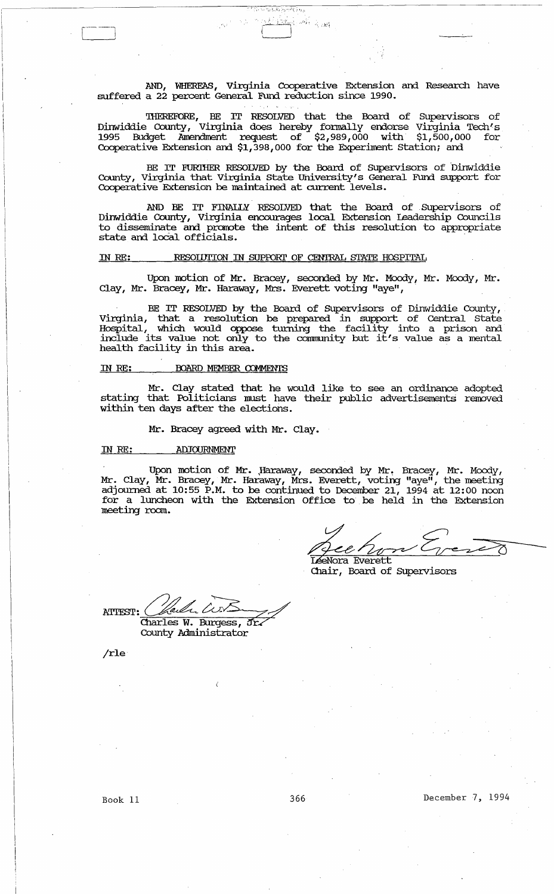AND, WHEREAS, Virginia Cooperative Extension and Research have suffered a 22 percent General Fund reduction since 1990.

the film of their

THEREFORE, BE IT RESOLVED that the Board of Supervisors of Dinwiddie County, Virginia does hereby formally endorse Virginia Tech's 1995 Budget Amendment request of  $$2,989,000$  with  $$1,500,000$  for Cooperative Extension and \$1,398,000 for the Experiment station; and

BE IT FURIHER RESOLVED by the Board of Supervisors of Dinwiddie County, Virginia that Virginia State University's General Fund support for Cooperative Extension be maintained at current levels.

AND BE IT FlNALLY RESOLVED that the Board of SUpervisors of Dinwiddie County, Virginia encourages local Extension Leadership Councils to disseminate and promote the intent of this resolution to appropriate state and local officials.

# IN RE: RESOIDTION IN SUPPORT OF CENTRAL STATE HOSPITAL

Upon motion of Mr. Bracey, seconded by Mr. Moody, Mr. Moody, Mr. Clay, Mr. Bracey, Mr. Haraway, Mrs. Everett voting "aye", -

BE IT RESOLVED by the Board of Supervisors of Dinwiddie County, Virginia, that a resolution be prepared in support of central state Hospital, which would oppose turning the facility into a prison and include its value not only to the community but it's value as a mental health facility in this area.

#### IN *RE:*  **BOARD MEMBER COMMENTS**

Mr. Clay stated that he would like to see an ordinance adopted stating that Politicians must have their public advertisements removed within ten days after the elections.

Mr. Bracey agreed with Mr. Clay.

### IN *RE:* ADJOORNMENT

Upon motion of Mr. Haraway, seconded by Mr. Bracey, Mr. Moody, Mr. Clay, Mr. Bracey, Mr. Haraway, Mrs. Everett, voting "aye", the meeting adjourned at 10:55 P.M. to be continued to December 21, 1994 at 12:00 noon for a luncheon with the Extension Office to be held in the Extension meeting room.

office to be held in the Extension<br>
Chair, Chair, Board of Supervisors

ATTEST: Charles W. Burgess, Jr. County Administrator

 $/r$ le

 $r \rightarrow r$  $\Box$   $\Box$ 

Book 11 366 December 7, 1994